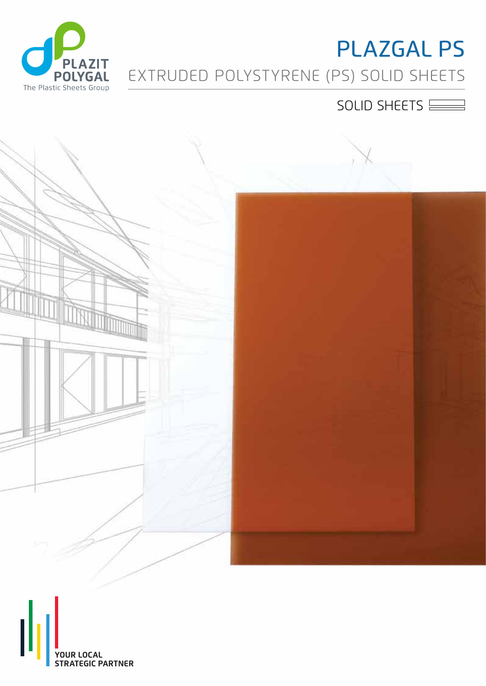

# EXTRUDED POLYSTYRENE (PS) SOLID SHEETS PLAZGAL PS

### SOLID SHEETS



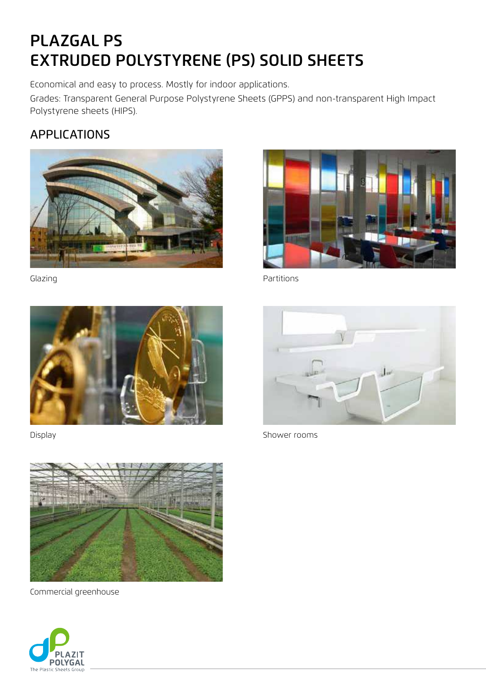## PLAZGAL PS EXTRUDED POLYSTYRENE (PS) SOLID SHEETS

Economical and easy to process. Mostly for indoor applications.

Grades: Transparent General Purpose Polystyrene Sheets (GPPS) and non-transparent High Impact Polystyrene sheets (HIPS).

#### APPLICATIONS







Commercial greenhouse





Glazing **Contract Contract Contract Contract Contract Contract Contract Contract Contract Contract Contract Contract Contract Contract Contract Contract Contract Contract Contract Contract Contract Contract Contract Contra** 



Display **Shower rooms**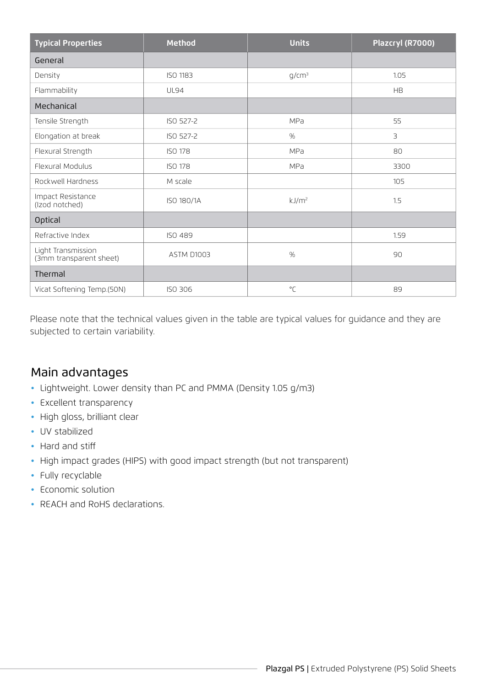| <b>Typical Properties</b>                     | <b>Method</b>   | <b>Units</b>      | Plazcryl (R7000) |
|-----------------------------------------------|-----------------|-------------------|------------------|
| General                                       |                 |                   |                  |
| Density                                       | <b>ISO 1183</b> | $q/cm^3$          | 1.05             |
| Flammability                                  | <b>UL94</b>     |                   | <b>HB</b>        |
| Mechanical                                    |                 |                   |                  |
| Tensile Strength                              | ISO 527-2       | MPa               | 55               |
| Elongation at break                           | ISO 527-2       | %                 | 3                |
| Flexural Strength                             | <b>ISO 178</b>  | MPa               | 80               |
| Flexural Modulus                              | <b>ISO 178</b>  | MPa               | 3300             |
| Rockwell Hardness                             | M scale         |                   | 105              |
| Impact Resistance<br>(Izod notched)           | ISO 180/1A      | kJ/m <sup>2</sup> | 1.5              |
| <b>Optical</b>                                |                 |                   |                  |
| Refractive Index                              | <b>ISO 489</b>  |                   | 1.59             |
| Light Transmission<br>(3mm transparent sheet) | ASTM D1003      | %                 | 90               |
| Thermal                                       |                 |                   |                  |
| Vicat Softening Temp.(50N)                    | <b>ISO 306</b>  | $^{\circ}$ C      | 89               |

Please note that the technical values given in the table are typical values for guidance and they are subjected to certain variability.

#### Main advantages

- Lightweight. Lower density than PC and PMMA (Density 1.05 g/m3)
- Excellent transparency
- High gloss, brilliant clear
- UV stabilized
- Hard and stiff
- High impact grades (HIPS) with good impact strength (but not transparent)
- Fully recyclable
- Economic solution
- REACH and RoHS declarations.